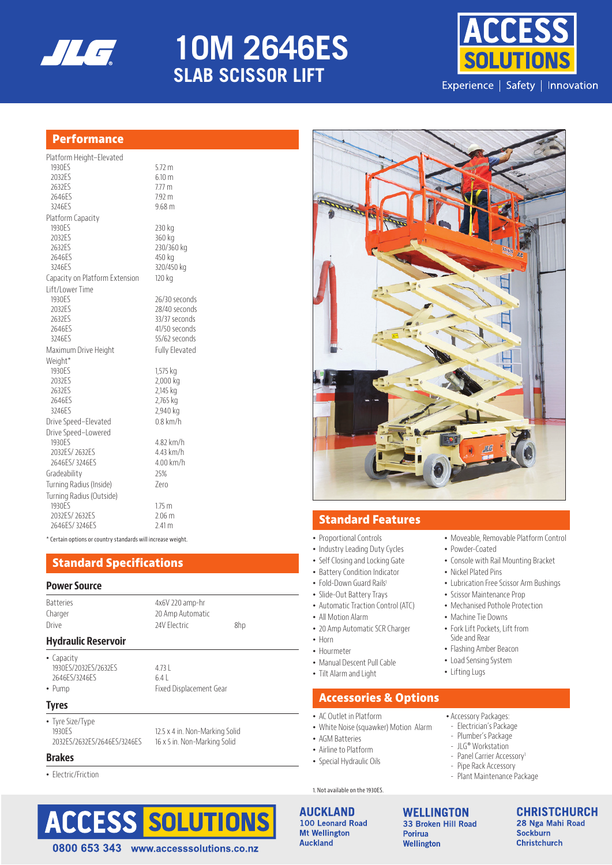

# **ES SERIES 10M 2646ES SLAB SCISSOR LIFT**



## **Performance**

| Platform Height-Elevated       |                       |
|--------------------------------|-----------------------|
| 1930ES                         | $5.72 \text{ m}$      |
| 2032ES                         | $6.10 \text{ m}$      |
| 2632ES                         | 7.77 <sub>m</sub>     |
| 2646ES                         | $7.92 \text{ m}$      |
| 3246FS                         | 9.68 m                |
| Platform Capacity              |                       |
| 1930ES                         | 230 kg                |
| 2032ES                         | 360 kg                |
| 2632ES                         | 230/360 kg            |
| 2646ES                         | 450 kg                |
| 3246ES                         | 320/450 kg            |
| Capacity on Platform Extension | 120 kg                |
| Lift/Lower Time                |                       |
| 1930ES                         | 26/30 seconds         |
| 2032ES                         | 28/40 seconds         |
| 2632ES                         | 33/37 seconds         |
| 2646ES                         | 41/50 seconds         |
| 3246ES                         | 55/62 seconds         |
| Maximum Drive Height           | <b>Fully Elevated</b> |
| Weight*                        |                       |
| 1930ES<br>2032ES               | 1,575 kg<br>2,000 kg  |
| 2632ES                         | 2,145 kg              |
| 2646ES                         | 2,765 kg              |
| 3246ES                         | 2,940 kg              |
| Drive Speed-Elevated           | $0.8$ km/h            |
| Drive Speed-Lowered            |                       |
| 1930 <sub>FS</sub>             | 4.82 km/h             |
| 2032ES/2632ES                  | 4.43 km/h             |
| 2646FS/3246FS                  | 4.00 km/h             |
| Gradeability                   | 25%                   |
| Turning Radius (Inside)        | Zero                  |
| Turning Radius (Outside)       |                       |
| 1930ES                         | 1.75 <sub>m</sub>     |
| 2032ES/2632ES                  | 2.06 <sub>m</sub>     |
| 2646ES/3246ES                  | 2.41 m                |
|                                |                       |

\* Certain options or country standards will increase weight.

## **Standard Specifications**

#### **Power Source**

| <b>Hydraulic Reservoir</b> |                   |     |  |  |
|----------------------------|-------------------|-----|--|--|
| Drive                      | 24V Flectric      | 8hp |  |  |
| Charger                    | 20 Amp Automatic  |     |  |  |
| <b>Batteries</b>           | $4x6V$ 220 amp-hr |     |  |  |
|                            |                   |     |  |  |

### **Hydraulic Reservoir**

• Capacity 1930ES/2032ES/2632ES 4.73 L 2646ES/3246ES 6.4 L

• Pump Fixed Displacement Gear

#### **Tyres**

• Tyre Size/Type 1930ES<br>2032ES/2632ES/2646ES/3246ES<br>16 x 5 in. Non-Marking Solid

16 x 5 in. Non-Marking Solid

#### **Brakes**

• Electric/Friction







## **Standard Features**

- Proportional Controls
- Industry Leading Duty Cycles
- Self Closing and Locking Gate
- Battery Condition Indicator
- Fold-Down Guard Rails<sup>1</sup>
- Slide-Out Battery Trays
- Automatic Traction Control (ATC)
- All Motion Alarm
- 20 Amp Automatic SCR Charger
- Horn
- Hourmeter
- Manual Descent Pull Cable
- Tilt Alarm and Light

## **Accessories & Options**

- AC Outlet in Platform
- White Noise (squawker) Motion Alarm
- AGM Batteries
- Airline to Platform • Special Hydraulic Oils
- 1. Not available on the 1930ES.

## **AUCKLAND** 100 Leonard Road

**Mt Wellington Auckland** 

**WELLINGTON** 33 Broken Hill Road **Porirua** Wellington

**CHRISTCHURCH** 28 Nga Mahi Road **Sockburn Christchurch** 

• Moveable, Removable Platform Control

• Console with Rail Mounting Bracket

• Lubrication Free Scissor Arm Bushings

• Powder-Coated

• Nickel Plated Pins

• Machine Tie Downs • Fork Lift Pockets, Lift from Side and Rear • Flashing Amber Beacon • Load Sensing System • Lifting Lugs

• Accessory Packages: - Electrician's Package - Plumber's Package - JLG® Workstation - Panel Carrier Accessory<sup>1</sup> - Pipe Rack Accessory - Plant Maintenance Package

• Scissor Maintenance Prop • Mechanised Pothole Protection